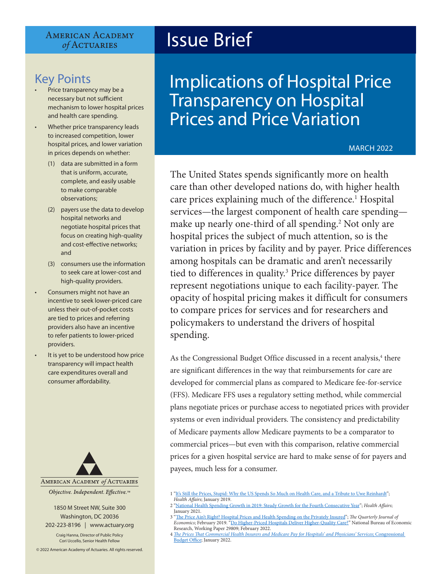#### **AMERICAN ACADEMY** of ACTUARIES

## Key Points

- Price transparency may be a necessary but not sufficient mechanism to lower hospital prices and health care spending.
- Whether price transparency leads to increased competition, lower hospital prices, and lower variation in prices depends on whether:
	- (1) data are submitted in a form that is uniform, accurate, complete, and easily usable to make comparable observations;
	- (2) payers use the data to develop hospital networks and negotiate hospital prices that focus on creating high-quality and cost-effective networks; and
	- (3) consumers use the information to seek care at lower-cost and high-quality providers.
- Consumers might not have an incentive to seek lower-priced care unless their out-of-pocket costs are tied to prices and referring providers also have an incentive to refer patients to lower-priced providers.
- It is yet to be understood how price transparency will impact health care expenditures overall and consumer affordability.



1850 M Street NW, Suite 300 Washington, DC 20036 202-223-8196 | [www.actuary.org](http://actuary.org)

Craig Hanna, Director of Public Policy Cori Uccello, Senior Health Fellow

© 2022 American Academy of Actuaries. All rights reserved.

# Issue Brief

## Implications of Hospital Price Transparency on Hospital Prices and Price Variation

#### MARCH 2022

The United States spends significantly more on health care than other developed nations do, with higher health care prices explaining much of the difference.<sup>1</sup> Hospital services—the largest component of health care spending make up nearly one-third of all spending.<sup>2</sup> Not only are hospital prices the subject of much attention, so is the variation in prices by facility and by payer. Price differences among hospitals can be dramatic and aren't necessarily tied to differences in quality.<sup>3</sup> Price differences by payer represent negotiations unique to each facility-payer. The opacity of hospital pricing makes it difficult for consumers to compare prices for services and for researchers and policymakers to understand the drivers of hospital spending.

As the Congressional Budget Office discussed in a recent analysis,<sup>4</sup> there are significant differences in the way that reimbursements for care are developed for commercial plans as compared to Medicare fee-for-service (FFS). Medicare FFS uses a regulatory setting method, while commercial plans negotiate prices or purchase access to negotiated prices with provider systems or even individual providers. The consistency and predictability of Medicare payments allow Medicare payments to be a comparator to commercial prices—but even with this comparison, relative commercial prices for a given hospital service are hard to make sense of for payers and payees, much less for a consumer.

<sup>1</sup> ["It's Still the Prices, Stupid: Why the US Spends So Much on Health Care, and a Tribute to Uwe Reinhardt](https://www.healthaffairs.org/doi/10.1377/hlthaff.2018.05144)"; *Health Affairs*; January 2019.

<sup>2</sup> ["National Health Spending Growth in 2019: Steady Growth for the Fourth Consecutive Year"](https://www.healthaffairs.org/doi/10.1377/hlthaff.2020.02022); *Health Affairs*; January 2021.

<sup>3 &</sup>quot;[The Price Ain't Right? Hospital Prices and Health Spending on the Privately Insured](https://academic.oup.com/qje/article/134/1/51/5090426)"; *The Quarterly Journal of Economics*; February 2019. ["Do Higher-Priced Hospitals Deliver Higher-Quality Care?"](https://www.nber.org/system/files/working_papers/w29809/w29809.pdf) National Bureau of Economic Research, Working Paper 29809; February 2022.

<sup>4</sup> *[The Prices That Commercial Health Insurers and Medicare Pay for Hospitals' and Physicians' Services](https://www.cbo.gov/system/files/2022-01/57422-medical-prices.pdf)*; Congressional Budget Office; January 2022.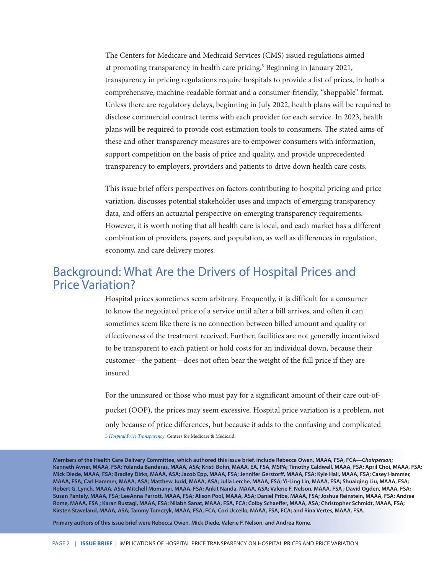The Centers for Medicare and Medicaid Services (CMS) issued regulations aimed at promoting transparency in health care pricing.<sup>5</sup> Beginning in January 2021, transparency in pricing regulations require hospitals to provide a list of prices, in both a comprehensive, machine-readable format and a consumer-friendly, "shoppable" format. Unless there are regulatory delays, beginning in July 2022, health plans will be required to disclose commercial contract terms with each provider for each service. In 2023, health plans will be required to provide cost estimation tools to consumers. The stated aims of these and other transparency measures are to empower consumers with information, support competition on the basis of price and quality, and provide unprecedented transparency to employers, providers and patients to drive down health care costs.

This issue brief offers perspectives on factors contributing to hospital pricing and price variation, discusses potential stakeholder uses and impacts of emerging transparency data, and offers an actuarial perspective on emerging transparency requirements. However, it is worth noting that all health care is local, and each market has a different combination of providers, payers, and population, as well as differences in regulation, economy, and care delivery mores.

## Background: What Are the Drivers of Hospital Prices and Price Variation?

Hospital prices sometimes seem arbitrary. Frequently, it is difficult for a consumer to know the negotiated price of a service until after a bill arrives, and often it can sometimes seem like there is no connection between billed amount and quality or effectiveness of the treatment received. Further, facilities are not generally incentivized to be transparent to each patient or hold costs for an individual down, because their customer—the patient—does not often bear the weight of the full price if they are insured.

For the uninsured or those who must pay for a significant amount of their care out-ofpocket (OOP), the prices may seem excessive. Hospital price variation is a problem, not only because of price differences, but because it adds to the confusing and complicated 5 *[Hospital Price Transparency](https://www.cms.gov/hospital-price-transparency)*, Centers for Medicare & Medicaid.

**Members of the Health Care Delivery Committee, which authored this issue brief, include Rebecca Owen, MAAA, FSA, FCA—***Chairperson***; Kenneth Avner, MAAA, FSA; Yolanda Banderas, MAAA, ASA; Kristi Bohn, MAAA, EA, FSA, MSPA; Timothy Caldwell, MAAA, FSA; April Choi, MAAA, FSA; Mick Diede, MAAA, FSA; Bradley Dirks, MAAA, ASA; Jacob Epp, MAAA, FSA; Jennifer Gerstorff, MAAA, FSA; Kyle Hall, MAAA, FSA; Casey Hammer, MAAA, FSA; Carl Hammer, MAAA, ASA; Matthew Judd, MAAA, ASA; Julia Lerche, MAAA, FSA; Yi-Ling Lin, MAAA, FSA; Shuaiqing Liu, MAAA, FSA; Robert G. Lynch, MAAA, ASA; Mitchell Momanyi, MAAA, FSA; Ankit Nanda, MAAA, ASA; Valerie F. Nelson, MAAA, FSA ; David Ogden, MAAA, FSA; Susan Pantely, MAAA, FSA; LeeAnna Parrott, MAAA, FSA; Alison Pool, MAAA, ASA; Daniel Pribe, MAAA, FSA; Joshua Reinstein, MAAA, FSA; Andrea Rome, MAAA, FSA ; Karan Rustagi, MAAA, FSA; Nilabh Sanat, MAAA, FSA, FCA; Colby Schaeffer, MAAA, ASA; Christopher Schmidt, MAAA, FSA; Kirsten Staveland, MAAA, ASA; Tammy Tomczyk, MAAA, FSA, FCA; Cori Uccello, MAAA, FSA, FCA; and Rina Vertes, MAAA, FSA.**

**Primary authors of this issue brief were Rebecca Owen, Mick Diede, Valerie F. Nelson, and Andrea Rome.**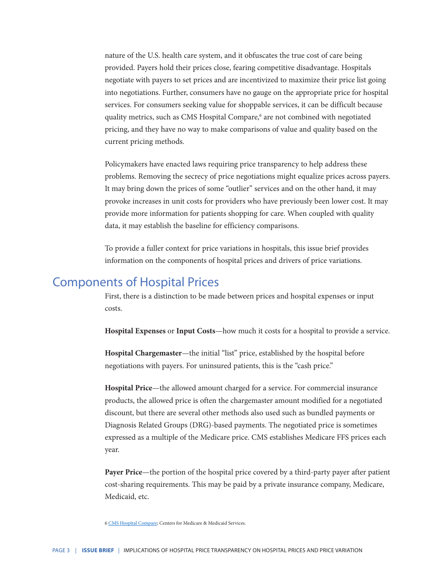nature of the U.S. health care system, and it obfuscates the true cost of care being provided. Payers hold their prices close, fearing competitive disadvantage. Hospitals negotiate with payers to set prices and are incentivized to maximize their price list going into negotiations. Further, consumers have no gauge on the appropriate price for hospital services. For consumers seeking value for shoppable services, it can be difficult because quality metrics, such as CMS Hospital Compare,<sup>6</sup> are not combined with negotiated pricing, and they have no way to make comparisons of value and quality based on the current pricing methods.

Policymakers have enacted laws requiring price transparency to help address these problems. Removing the secrecy of price negotiations might equalize prices across payers. It may bring down the prices of some "outlier" services and on the other hand, it may provoke increases in unit costs for providers who have previously been lower cost. It may provide more information for patients shopping for care. When coupled with quality data, it may establish the baseline for efficiency comparisons.

To provide a fuller context for price variations in hospitals, this issue brief provides information on the components of hospital prices and drivers of price variations.

## Components of Hospital Prices

First, there is a distinction to be made between prices and hospital expenses or input costs.

**Hospital Expenses** or **Input Costs**—how much it costs for a hospital to provide a service.

**Hospital Chargemaster**—the initial "list" price, established by the hospital before negotiations with payers. For uninsured patients, this is the "cash price."

**Hospital Price**—the allowed amount charged for a service. For commercial insurance products, the allowed price is often the chargemaster amount modified for a negotiated discount, but there are several other methods also used such as bundled payments or Diagnosis Related Groups (DRG)-based payments. The negotiated price is sometimes expressed as a multiple of the Medicare price. CMS establishes Medicare FFS prices each year.

**Payer Price**—the portion of the hospital price covered by a third-party payer after patient cost-sharing requirements. This may be paid by a private insurance company, Medicare, Medicaid, etc.

6 [CMS Hospital Compare;](https://www.medicare.gov/care-compare/?providerType=Hospital&redirect=true) Centers for Medicare & Medicaid Services.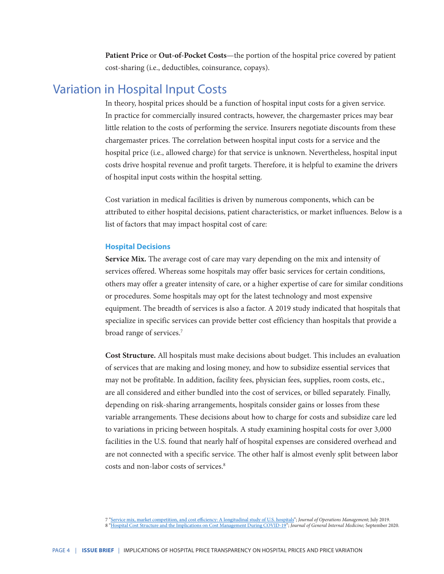**Patient Price** or **Out-of-Pocket Costs**—the portion of the hospital price covered by patient cost-sharing (i.e., deductibles, coinsurance, copays).

## Variation in Hospital Input Costs

In theory, hospital prices should be a function of hospital input costs for a given service. In practice for commercially insured contracts, however, the chargemaster prices may bear little relation to the costs of performing the service. Insurers negotiate discounts from these chargemaster prices. The correlation between hospital input costs for a service and the hospital price (i.e., allowed charge) for that service is unknown. Nevertheless, hospital input costs drive hospital revenue and profit targets. Therefore, it is helpful to examine the drivers of hospital input costs within the hospital setting.

Cost variation in medical facilities is driven by numerous components, which can be attributed to either hospital decisions, patient characteristics, or market influences. Below is a list of factors that may impact hospital cost of care:

#### **Hospital Decisions**

**Service Mix.** The average cost of care may vary depending on the mix and intensity of services offered. Whereas some hospitals may offer basic services for certain conditions, others may offer a greater intensity of care, or a higher expertise of care for similar conditions or procedures. Some hospitals may opt for the latest technology and most expensive equipment. The breadth of services is also a factor. A 2019 study indicated that hospitals that specialize in specific services can provide better cost efficiency than hospitals that provide a broad range of services.7

**Cost Structure.** All hospitals must make decisions about budget. This includes an evaluation of services that are making and losing money, and how to subsidize essential services that may not be profitable. In addition, facility fees, physician fees, supplies, room costs, etc., are all considered and either bundled into the cost of services, or billed separately. Finally, depending on risk-sharing arrangements, hospitals consider gains or losses from these variable arrangements. These decisions about how to charge for costs and subsidize care led to variations in pricing between hospitals. A study examining hospital costs for over 3,000 facilities in the U.S. found that nearly half of hospital expenses are considered overhead and are not connected with a specific service. The other half is almost evenly split between labor costs and non-labor costs of services.8

7 "[Service mix, market competition, and cost efficiency: A longitudinal study of U.S. hospitals](https://doi.org/10.1002/joom.1050)"; *Journal of Operations Management*; July 2019. 8 "[Hospital Cost Structure and the Implications on Cost Management During COVID-19"](https://www.ncbi.nlm.nih.gov/pmc/articles/PMC7326305/); *Journal of General Internal Medicine;* September 2020.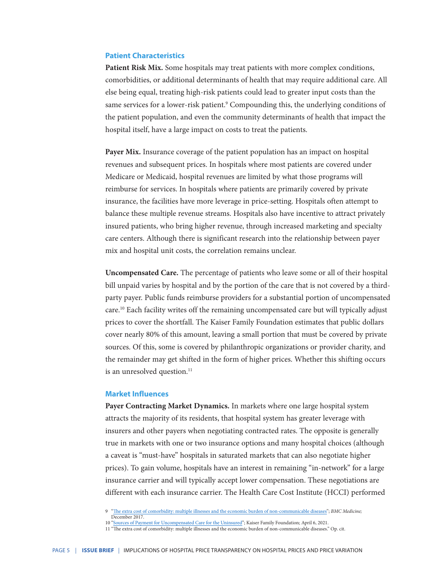#### **Patient Characteristics**

**Patient Risk Mix.** Some hospitals may treat patients with more complex conditions, comorbidities, or additional determinants of health that may require additional care. All else being equal, treating high-risk patients could lead to greater input costs than the same services for a lower-risk patient.<sup>9</sup> Compounding this, the underlying conditions of the patient population, and even the community determinants of health that impact the hospital itself, have a large impact on costs to treat the patients.

**Payer Mix.** Insurance coverage of the patient population has an impact on hospital revenues and subsequent prices. In hospitals where most patients are covered under Medicare or Medicaid, hospital revenues are limited by what those programs will reimburse for services. In hospitals where patients are primarily covered by private insurance, the facilities have more leverage in price-setting. Hospitals often attempt to balance these multiple revenue streams. Hospitals also have incentive to attract privately insured patients, who bring higher revenue, through increased marketing and specialty care centers. Although there is significant research into the relationship between payer mix and hospital unit costs, the correlation remains unclear.

**Uncompensated Care.** The percentage of patients who leave some or all of their hospital bill unpaid varies by hospital and by the portion of the care that is not covered by a thirdparty payer. Public funds reimburse providers for a substantial portion of uncompensated care.<sup>10</sup> Each facility writes off the remaining uncompensated care but will typically adjust prices to cover the shortfall. The Kaiser Family Foundation estimates that public dollars cover nearly 80% of this amount, leaving a small portion that must be covered by private sources. Of this, some is covered by philanthropic organizations or provider charity, and the remainder may get shifted in the form of higher prices. Whether this shifting occurs is an unresolved question.<sup>11</sup>

#### **Market Influences**

**Payer Contracting Market Dynamics.** In markets where one large hospital system attracts the majority of its residents, that hospital system has greater leverage with insurers and other payers when negotiating contracted rates. The opposite is generally true in markets with one or two insurance options and many hospital choices (although a caveat is "must-have" hospitals in saturated markets that can also negotiate higher prices). To gain volume, hospitals have an interest in remaining "in-network" for a large insurance carrier and will typically accept lower compensation. These negotiations are different with each insurance carrier. The Health Care Cost Institute (HCCI) performed

<sup>9</sup> ["The extra cost of comorbidity: multiple illnesses and the economic burden of non-communicable diseases](https://www.ncbi.nlm.nih.gov/pmc/articles/PMC5723100/)"; *BMC Medicine;*  December 2017.

<sup>10 &</sup>quot;<u>Sources of Payment for Uncompensated Care for the Uninsured</u>"; Kaiser Family Foundation; April 6, 2021.<br>11 "The extra cost of comorbidity: multiple illnesses and the economic burden of non-communicable diseases." Op.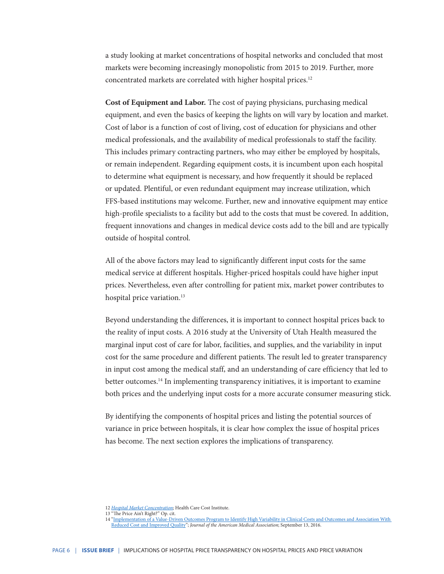a study looking at market concentrations of hospital networks and concluded that most markets were becoming increasingly monopolistic from 2015 to 2019. Further, more concentrated markets are correlated with higher hospital prices.12

**Cost of Equipment and Labor.** The cost of paying physicians, purchasing medical equipment, and even the basics of keeping the lights on will vary by location and market. Cost of labor is a function of cost of living, cost of education for physicians and other medical professionals, and the availability of medical professionals to staff the facility. This includes primary contracting partners, who may either be employed by hospitals, or remain independent. Regarding equipment costs, it is incumbent upon each hospital to determine what equipment is necessary, and how frequently it should be replaced or updated. Plentiful, or even redundant equipment may increase utilization, which FFS-based institutions may welcome. Further, new and innovative equipment may entice high-profile specialists to a facility but add to the costs that must be covered. In addition, frequent innovations and changes in medical device costs add to the bill and are typically outside of hospital control.

All of the above factors may lead to significantly different input costs for the same medical service at different hospitals. Higher-priced hospitals could have higher input prices. Nevertheless, even after controlling for patient mix, market power contributes to hospital price variation.<sup>13</sup>

Beyond understanding the differences, it is important to connect hospital prices back to the reality of input costs. A 2016 study at the University of Utah Health measured the marginal input cost of care for labor, facilities, and supplies, and the variability in input cost for the same procedure and different patients. The result led to greater transparency in input cost among the medical staff, and an understanding of care efficiency that led to better outcomes.<sup>14</sup> In implementing transparency initiatives, it is important to examine both prices and the underlying input costs for a more accurate consumer measuring stick.

By identifying the components of hospital prices and listing the potential sources of variance in price between hospitals, it is clear how complex the issue of hospital prices has become. The next section explores the implications of transparency.

<sup>12</sup> *Hospital Market Concentration*; Health Care Cost Institute.

<sup>13 &</sup>quot;The Price Ain't Right?" Op. cit.

<sup>14 &</sup>quot;Implementation of a Value-Driven Outcomes Program to Identify High Variability in Clinical Costs and Outcomes and Association With<br>[Reduced Cost and Improved Quality](https://pubmed.ncbi.nlm.nih.gov/27623461/)"; Journal of the American Medical Association; Septem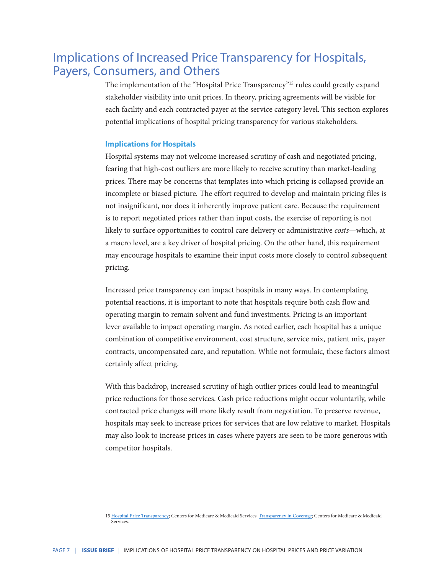## Implications of Increased Price Transparency for Hospitals, Payers, Consumers, and Others

The implementation of the "Hospital Price Transparency"15 rules could greatly expand stakeholder visibility into unit prices. In theory, pricing agreements will be visible for each facility and each contracted payer at the service category level. This section explores potential implications of hospital pricing transparency for various stakeholders.

#### **Implications for Hospitals**

Hospital systems may not welcome increased scrutiny of cash and negotiated pricing, fearing that high-cost outliers are more likely to receive scrutiny than market-leading prices. There may be concerns that templates into which pricing is collapsed provide an incomplete or biased picture. The effort required to develop and maintain pricing files is not insignificant, nor does it inherently improve patient care. Because the requirement is to report negotiated prices rather than input costs, the exercise of reporting is not likely to surface opportunities to control care delivery or administrative *costs*—which, at a macro level, are a key driver of hospital pricing. On the other hand, this requirement may encourage hospitals to examine their input costs more closely to control subsequent pricing.

Increased price transparency can impact hospitals in many ways. In contemplating potential reactions, it is important to note that hospitals require both cash flow and operating margin to remain solvent and fund investments. Pricing is an important lever available to impact operating margin. As noted earlier, each hospital has a unique combination of competitive environment, cost structure, service mix, patient mix, payer contracts, uncompensated care, and reputation. While not formulaic, these factors almost certainly affect pricing.

With this backdrop, increased scrutiny of high outlier prices could lead to meaningful price reductions for those services. Cash price reductions might occur voluntarily, while contracted price changes will more likely result from negotiation. To preserve revenue, hospitals may seek to increase prices for services that are low relative to market. Hospitals may also look to increase prices in cases where payers are seen to be more generous with competitor hospitals.

<sup>15</sup> [Hospital Price Transparency;](https://www.cms.gov/hospital-price-transparency) Centers for Medicare & Medicaid Services. [Transparency in Coverage](https://www.cms.gov/healthplan-price-transparency); Centers for Medicare & Medicaid Services.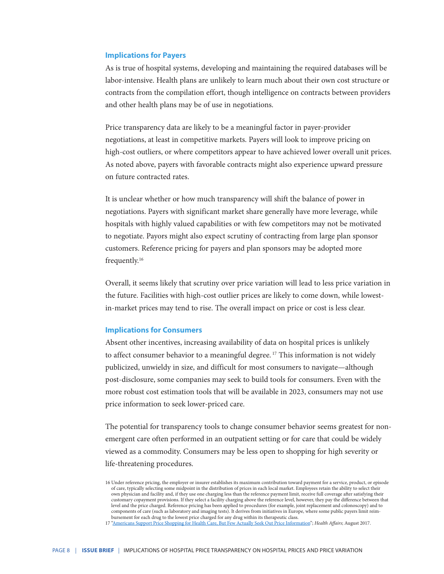#### **Implications for Payers**

As is true of hospital systems, developing and maintaining the required databases will be labor-intensive. Health plans are unlikely to learn much about their own cost structure or contracts from the compilation effort, though intelligence on contracts between providers and other health plans may be of use in negotiations.

Price transparency data are likely to be a meaningful factor in payer-provider negotiations, at least in competitive markets. Payers will look to improve pricing on high-cost outliers, or where competitors appear to have achieved lower overall unit prices. As noted above, payers with favorable contracts might also experience upward pressure on future contracted rates.

It is unclear whether or how much transparency will shift the balance of power in negotiations. Payers with significant market share generally have more leverage, while hospitals with highly valued capabilities or with few competitors may not be motivated to negotiate. Payors might also expect scrutiny of contracting from large plan sponsor customers. Reference pricing for payers and plan sponsors may be adopted more frequently.16

Overall, it seems likely that scrutiny over price variation will lead to less price variation in the future. Facilities with high-cost outlier prices are likely to come down, while lowestin-market prices may tend to rise. The overall impact on price or cost is less clear.

#### **Implications for Consumers**

Absent other incentives, increasing availability of data on hospital prices is unlikely to affect consumer behavior to a meaningful degree.<sup>17</sup> This information is not widely publicized, unwieldy in size, and difficult for most consumers to navigate—although post-disclosure, some companies may seek to build tools for consumers. Even with the more robust cost estimation tools that will be available in 2023, consumers may not use price information to seek lower-priced care.

The potential for transparency tools to change consumer behavior seems greatest for nonemergent care often performed in an outpatient setting or for care that could be widely viewed as a commodity. Consumers may be less open to shopping for high severity or life-threatening procedures.

<sup>16</sup> Under reference pricing, the employer or insurer establishes its maximum contribution toward payment for a service, product, or episode of care, typically selecting some midpoint in the distribution of prices in each local market. Employees retain the ability to select their own physician and facility and, if they use one charging less than the reference payment limit, receive full coverage after satisfying their customary copayment provisions. If they select a facility charging above the reference level, however, they pay the difference between that level and the price charged. Reference pricing has been applied to procedures (for example, joint replacement and colonoscopy) and to components of care (such as laboratory and imaging tests). It derives from initiatives in Europe, where some public payers limit reim-

bursement for each drug to the lowest price charged for any drug within its therapeutic class.<br>17 ["Americans Support Price Shopping for Health Care, But Few Actually Seek Out Price Information"](https://www.healthaffairs.org/doi/10.1377/hlthaff.2016.1471); Health Affairs; August 2017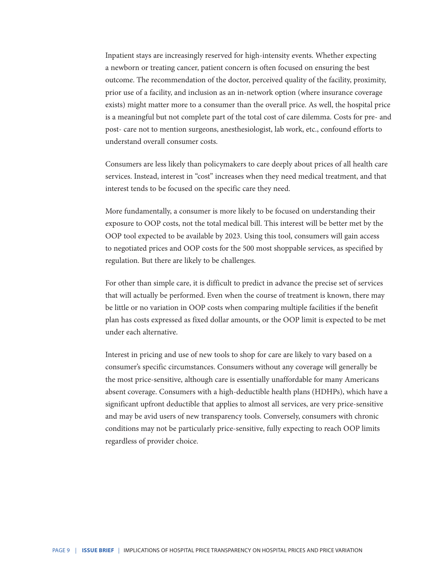Inpatient stays are increasingly reserved for high-intensity events. Whether expecting a newborn or treating cancer, patient concern is often focused on ensuring the best outcome. The recommendation of the doctor, perceived quality of the facility, proximity, prior use of a facility, and inclusion as an in-network option (where insurance coverage exists) might matter more to a consumer than the overall price. As well, the hospital price is a meaningful but not complete part of the total cost of care dilemma. Costs for pre- and post- care not to mention surgeons, anesthesiologist, lab work, etc., confound efforts to understand overall consumer costs.

Consumers are less likely than policymakers to care deeply about prices of all health care services. Instead, interest in "cost" increases when they need medical treatment, and that interest tends to be focused on the specific care they need.

More fundamentally, a consumer is more likely to be focused on understanding their exposure to OOP costs, not the total medical bill. This interest will be better met by the OOP tool expected to be available by 2023. Using this tool, consumers will gain access to negotiated prices and OOP costs for the 500 most shoppable services, as specified by regulation. But there are likely to be challenges.

For other than simple care, it is difficult to predict in advance the precise set of services that will actually be performed. Even when the course of treatment is known, there may be little or no variation in OOP costs when comparing multiple facilities if the benefit plan has costs expressed as fixed dollar amounts, or the OOP limit is expected to be met under each alternative.

Interest in pricing and use of new tools to shop for care are likely to vary based on a consumer's specific circumstances. Consumers without any coverage will generally be the most price-sensitive, although care is essentially unaffordable for many Americans absent coverage. Consumers with a high-deductible health plans (HDHPs), which have a significant upfront deductible that applies to almost all services, are very price-sensitive and may be avid users of new transparency tools. Conversely, consumers with chronic conditions may not be particularly price-sensitive, fully expecting to reach OOP limits regardless of provider choice.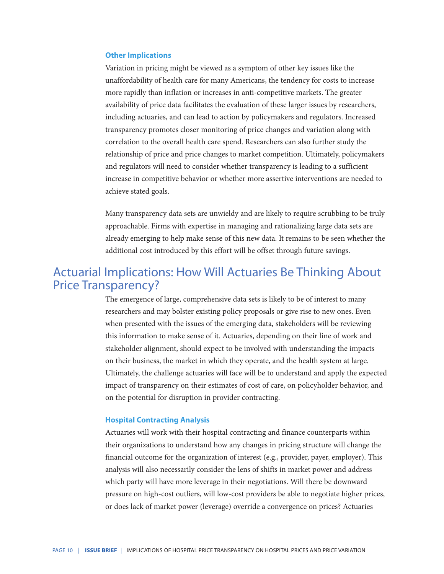#### **Other Implications**

Variation in pricing might be viewed as a symptom of other key issues like the unaffordability of health care for many Americans, the tendency for costs to increase more rapidly than inflation or increases in anti-competitive markets. The greater availability of price data facilitates the evaluation of these larger issues by researchers, including actuaries, and can lead to action by policymakers and regulators. Increased transparency promotes closer monitoring of price changes and variation along with correlation to the overall health care spend. Researchers can also further study the relationship of price and price changes to market competition. Ultimately, policymakers and regulators will need to consider whether transparency is leading to a sufficient increase in competitive behavior or whether more assertive interventions are needed to achieve stated goals.

Many transparency data sets are unwieldy and are likely to require scrubbing to be truly approachable. Firms with expertise in managing and rationalizing large data sets are already emerging to help make sense of this new data. It remains to be seen whether the additional cost introduced by this effort will be offset through future savings.

## Actuarial Implications: How Will Actuaries Be Thinking About Price Transparency?

The emergence of large, comprehensive data sets is likely to be of interest to many researchers and may bolster existing policy proposals or give rise to new ones. Even when presented with the issues of the emerging data, stakeholders will be reviewing this information to make sense of it. Actuaries, depending on their line of work and stakeholder alignment, should expect to be involved with understanding the impacts on their business, the market in which they operate, and the health system at large. Ultimately, the challenge actuaries will face will be to understand and apply the expected impact of transparency on their estimates of cost of care, on policyholder behavior, and on the potential for disruption in provider contracting.

#### **Hospital Contracting Analysis**

Actuaries will work with their hospital contracting and finance counterparts within their organizations to understand how any changes in pricing structure will change the financial outcome for the organization of interest (e.g., provider, payer, employer). This analysis will also necessarily consider the lens of shifts in market power and address which party will have more leverage in their negotiations. Will there be downward pressure on high-cost outliers, will low-cost providers be able to negotiate higher prices, or does lack of market power (leverage) override a convergence on prices? Actuaries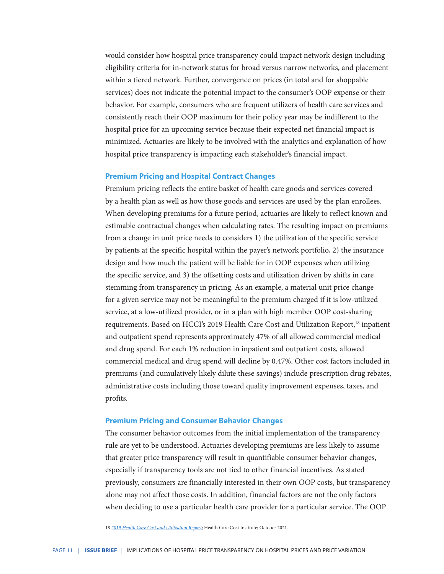would consider how hospital price transparency could impact network design including eligibility criteria for in-network status for broad versus narrow networks, and placement within a tiered network. Further, convergence on prices (in total and for shoppable services) does not indicate the potential impact to the consumer's OOP expense or their behavior. For example, consumers who are frequent utilizers of health care services and consistently reach their OOP maximum for their policy year may be indifferent to the hospital price for an upcoming service because their expected net financial impact is minimized. Actuaries are likely to be involved with the analytics and explanation of how hospital price transparency is impacting each stakeholder's financial impact.

#### **Premium Pricing and Hospital Contract Changes**

Premium pricing reflects the entire basket of health care goods and services covered by a health plan as well as how those goods and services are used by the plan enrollees. When developing premiums for a future period, actuaries are likely to reflect known and estimable contractual changes when calculating rates. The resulting impact on premiums from a change in unit price needs to considers 1) the utilization of the specific service by patients at the specific hospital within the payer's network portfolio, 2) the insurance design and how much the patient will be liable for in OOP expenses when utilizing the specific service, and 3) the offsetting costs and utilization driven by shifts in care stemming from transparency in pricing. As an example, a material unit price change for a given service may not be meaningful to the premium charged if it is low-utilized service, at a low-utilized provider, or in a plan with high member OOP cost-sharing requirements. Based on HCCI's 2019 Health Care Cost and Utilization Report,<sup>18</sup> inpatient and outpatient spend represents approximately 47% of all allowed commercial medical and drug spend. For each 1% reduction in inpatient and outpatient costs, allowed commercial medical and drug spend will decline by 0.47%. Other cost factors included in premiums (and cumulatively likely dilute these savings) include prescription drug rebates, administrative costs including those toward quality improvement expenses, taxes, and profits.

#### **Premium Pricing and Consumer Behavior Changes**

The consumer behavior outcomes from the initial implementation of the transparency rule are yet to be understood. Actuaries developing premiums are less likely to assume that greater price transparency will result in quantifiable consumer behavior changes, especially if transparency tools are not tied to other financial incentives. As stated previously, consumers are financially interested in their own OOP costs, but transparency alone may not affect those costs. In addition, financial factors are not the only factors when deciding to use a particular health care provider for a particular service. The OOP

18 *[2019 Health Care Cost and Utilization Report](https://healthcostinstitute.org/images/pdfs/HCCI_2019_Health_Care_Cost_and_Utilization_Report.pdf)*; Health Care Cost Institute; October 2021.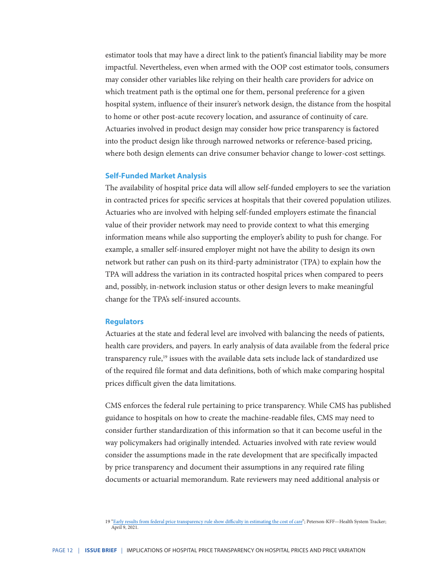estimator tools that may have a direct link to the patient's financial liability may be more impactful. Nevertheless, even when armed with the OOP cost estimator tools, consumers may consider other variables like relying on their health care providers for advice on which treatment path is the optimal one for them, personal preference for a given hospital system, influence of their insurer's network design, the distance from the hospital to home or other post-acute recovery location, and assurance of continuity of care. Actuaries involved in product design may consider how price transparency is factored into the product design like through narrowed networks or reference-based pricing, where both design elements can drive consumer behavior change to lower-cost settings.

#### **Self-Funded Market Analysis**

The availability of hospital price data will allow self-funded employers to see the variation in contracted prices for specific services at hospitals that their covered population utilizes. Actuaries who are involved with helping self-funded employers estimate the financial value of their provider network may need to provide context to what this emerging information means while also supporting the employer's ability to push for change. For example, a smaller self-insured employer might not have the ability to design its own network but rather can push on its third-party administrator (TPA) to explain how the TPA will address the variation in its contracted hospital prices when compared to peers and, possibly, in-network inclusion status or other design levers to make meaningful change for the TPA's self-insured accounts.

#### **Regulators**

Actuaries at the state and federal level are involved with balancing the needs of patients, health care providers, and payers. In early analysis of data available from the federal price transparency rule,<sup>19</sup> issues with the available data sets include lack of standardized use of the required file format and data definitions, both of which make comparing hospital prices difficult given the data limitations.

CMS enforces the federal rule pertaining to price transparency. While CMS has published guidance to hospitals on how to create the machine-readable files, CMS may need to consider further standardization of this information so that it can become useful in the way policymakers had originally intended. Actuaries involved with rate review would consider the assumptions made in the rate development that are specifically impacted by price transparency and document their assumptions in any required rate filing documents or actuarial memorandum. Rate reviewers may need additional analysis or

<sup>19</sup> ["Early results from federal price transparency rule show difficulty in estimating the cost of care"](https://www.healthsystemtracker.org/brief/early-results-from-federal-price-transparency-rule-show-difficultly-in-estimating-the-cost-of-care/); Peterson-KFF—Health System Tracker; April 9, 2021.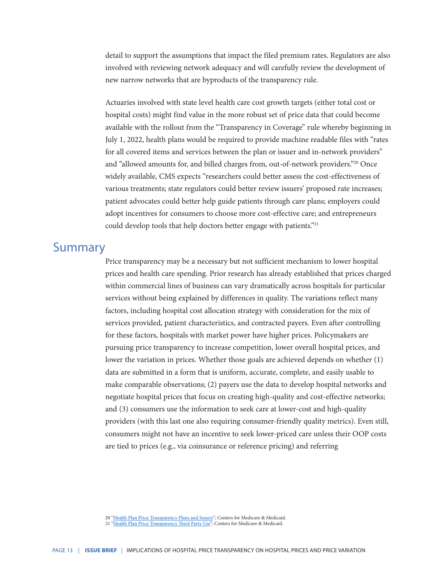detail to support the assumptions that impact the filed premium rates. Regulators are also involved with reviewing network adequacy and will carefully review the development of new narrow networks that are byproducts of the transparency rule.

Actuaries involved with state level health care cost growth targets (either total cost or hospital costs) might find value in the more robust set of price data that could become available with the rollout from the "Transparency in Coverage" rule whereby beginning in July 1, 2022, health plans would be required to provide machine readable files with "rates for all covered items and services between the plan or issuer and in-network providers" and "allowed amounts for, and billed charges from, out-of-network providers."20 Once widely available, CMS expects "researchers could better assess the cost-effectiveness of various treatments; state regulators could better review issuers' proposed rate increases; patient advocates could better help guide patients through care plans; employers could adopt incentives for consumers to choose more cost-effective care; and entrepreneurs could develop tools that help doctors better engage with patients."<sup>21</sup>

### Summary

Price transparency may be a necessary but not sufficient mechanism to lower hospital prices and health care spending. Prior research has already established that prices charged within commercial lines of business can vary dramatically across hospitals for particular services without being explained by differences in quality. The variations reflect many factors, including hospital cost allocation strategy with consideration for the mix of services provided, patient characteristics, and contracted payers. Even after controlling for these factors, hospitals with market power have higher prices. Policymakers are pursuing price transparency to increase competition, lower overall hospital prices, and lower the variation in prices. Whether those goals are achieved depends on whether (1) data are submitted in a form that is uniform, accurate, complete, and easily usable to make comparable observations; (2) payers use the data to develop hospital networks and negotiate hospital prices that focus on creating high-quality and cost-effective networks; and (3) consumers use the information to seek care at lower-cost and high-quality providers (with this last one also requiring consumer-friendly quality metrics). Even still, consumers might not have an incentive to seek lower-priced care unless their OOP costs are tied to prices (e.g., via coinsurance or reference pricing) and referring

<sup>20</sup> ["Health Plan Price Transparency Plans and Issuers"](https://www.cms.gov/healthplan-price-transparency/plans-and-issuers); Centers for Medicare & Medicaid.

<sup>21</sup> ["Health Plan Price Transparency Third Party Use"](https://www.cms.gov/healthplan-price-transparency/public-data); Centers for Medicare & Medicaid.